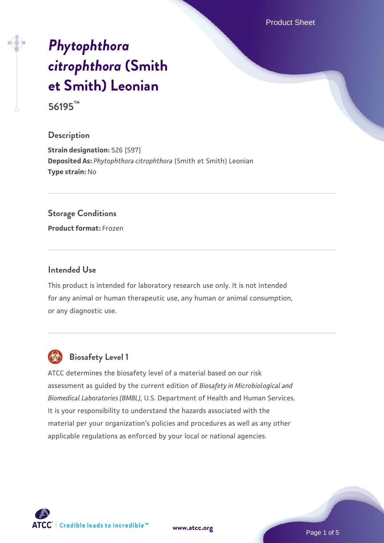Product Sheet

# *[Phytophthora](https://www.atcc.org/products/56195) [citrophthora](https://www.atcc.org/products/56195)* **[\(Smith](https://www.atcc.org/products/56195) [et Smith\) Leonian](https://www.atcc.org/products/56195) 56195™**

#### **Description**

**Strain designation:** 526 [S97] **Deposited As:** *Phytophthora citrophthora* (Smith et Smith) Leonian **Type strain:** No

#### **Storage Conditions**

**Product format:** Frozen

#### **Intended Use**

This product is intended for laboratory research use only. It is not intended for any animal or human therapeutic use, any human or animal consumption, or any diagnostic use.



# **Biosafety Level 1**

ATCC determines the biosafety level of a material based on our risk assessment as guided by the current edition of *Biosafety in Microbiological and Biomedical Laboratories (BMBL)*, U.S. Department of Health and Human Services. It is your responsibility to understand the hazards associated with the material per your organization's policies and procedures as well as any other applicable regulations as enforced by your local or national agencies.

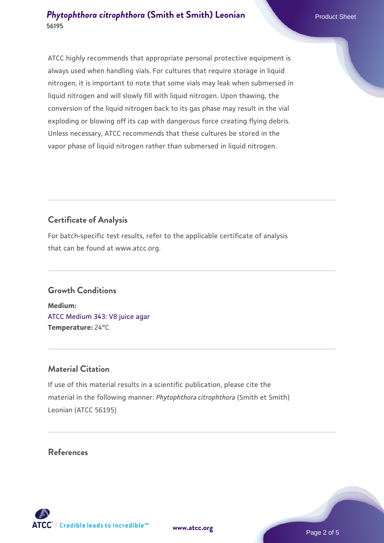#### **[Phytophthora citrophthora](https://www.atcc.org/products/56195) [\(Smith et Smith\) Leonian](https://www.atcc.org/products/56195) 56195**

ATCC highly recommends that appropriate personal protective equipment is always used when handling vials. For cultures that require storage in liquid nitrogen, it is important to note that some vials may leak when submersed in liquid nitrogen and will slowly fill with liquid nitrogen. Upon thawing, the conversion of the liquid nitrogen back to its gas phase may result in the vial exploding or blowing off its cap with dangerous force creating flying debris. Unless necessary, ATCC recommends that these cultures be stored in the vapor phase of liquid nitrogen rather than submersed in liquid nitrogen.

# **Certificate of Analysis**

For batch-specific test results, refer to the applicable certificate of analysis that can be found at www.atcc.org.

### **Growth Conditions**

**Medium:**  [ATCC Medium 343: V8 juice agar](https://www.atcc.org/-/media/product-assets/documents/microbial-media-formulations/3/4/3/atcc-medium-0343.pdf?rev=fbf48fa24e664932828269db1822ab12) **Temperature:** 24°C

### **Material Citation**

If use of this material results in a scientific publication, please cite the material in the following manner: *Phytophthora citrophthora* (Smith et Smith) Leonian (ATCC 56195)

### **References**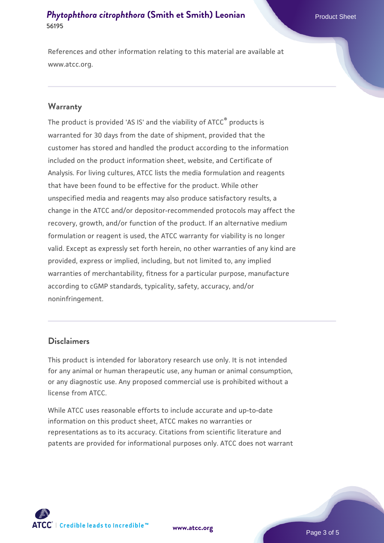#### **[Phytophthora citrophthora](https://www.atcc.org/products/56195) [\(Smith et Smith\) Leonian](https://www.atcc.org/products/56195) 56195**

References and other information relating to this material are available at www.atcc.org.

#### **Warranty**

The product is provided 'AS IS' and the viability of ATCC® products is warranted for 30 days from the date of shipment, provided that the customer has stored and handled the product according to the information included on the product information sheet, website, and Certificate of Analysis. For living cultures, ATCC lists the media formulation and reagents that have been found to be effective for the product. While other unspecified media and reagents may also produce satisfactory results, a change in the ATCC and/or depositor-recommended protocols may affect the recovery, growth, and/or function of the product. If an alternative medium formulation or reagent is used, the ATCC warranty for viability is no longer valid. Except as expressly set forth herein, no other warranties of any kind are provided, express or implied, including, but not limited to, any implied warranties of merchantability, fitness for a particular purpose, manufacture according to cGMP standards, typicality, safety, accuracy, and/or noninfringement.

#### **Disclaimers**

This product is intended for laboratory research use only. It is not intended for any animal or human therapeutic use, any human or animal consumption, or any diagnostic use. Any proposed commercial use is prohibited without a license from ATCC.

While ATCC uses reasonable efforts to include accurate and up-to-date information on this product sheet, ATCC makes no warranties or representations as to its accuracy. Citations from scientific literature and patents are provided for informational purposes only. ATCC does not warrant

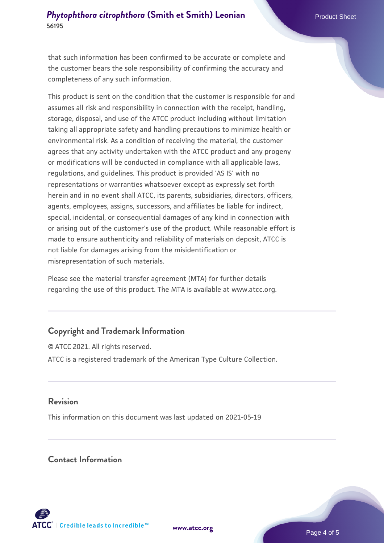#### **[Phytophthora citrophthora](https://www.atcc.org/products/56195) [\(Smith et Smith\) Leonian](https://www.atcc.org/products/56195) 56195**

that such information has been confirmed to be accurate or complete and the customer bears the sole responsibility of confirming the accuracy and completeness of any such information.

This product is sent on the condition that the customer is responsible for and assumes all risk and responsibility in connection with the receipt, handling, storage, disposal, and use of the ATCC product including without limitation taking all appropriate safety and handling precautions to minimize health or environmental risk. As a condition of receiving the material, the customer agrees that any activity undertaken with the ATCC product and any progeny or modifications will be conducted in compliance with all applicable laws, regulations, and guidelines. This product is provided 'AS IS' with no representations or warranties whatsoever except as expressly set forth herein and in no event shall ATCC, its parents, subsidiaries, directors, officers, agents, employees, assigns, successors, and affiliates be liable for indirect, special, incidental, or consequential damages of any kind in connection with or arising out of the customer's use of the product. While reasonable effort is made to ensure authenticity and reliability of materials on deposit, ATCC is not liable for damages arising from the misidentification or misrepresentation of such materials.

Please see the material transfer agreement (MTA) for further details regarding the use of this product. The MTA is available at www.atcc.org.

### **Copyright and Trademark Information**

© ATCC 2021. All rights reserved. ATCC is a registered trademark of the American Type Culture Collection.

#### **Revision**

This information on this document was last updated on 2021-05-19

#### **Contact Information**



**[www.atcc.org](http://www.atcc.org)**

Page 4 of 5